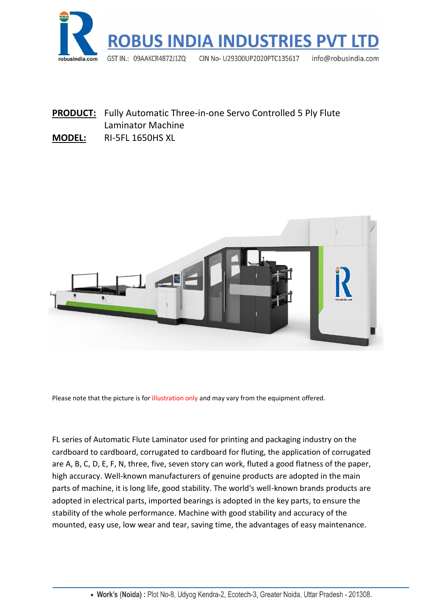

**PRODUCT:** Fully Automatic Three-in-one Servo Controlled 5 Ply Flute Laminator Machine

#### **MODEL:** RI-5FL 1650HS XL



Please note that the picture is for illustration only and may vary from the equipment offered.

FL series of Automatic Flute Laminator used for printing and packaging industry on the cardboard to cardboard, corrugated to cardboard for fluting, the application of corrugated are A, B, C, D, E, F, N, three, five, seven story can work, fluted a good flatness of the paper, high accuracy. Well-known manufacturers of genuine products are adopted in the main parts of machine, it is long life, good stability. The world's well-known brands products are adopted in electrical parts, imported bearings is adopted in the key parts, to ensure the stability of the whole performance. Machine with good stability and accuracy of the mounted, easy use, low wear and tear, saving time, the advantages of easy maintenance.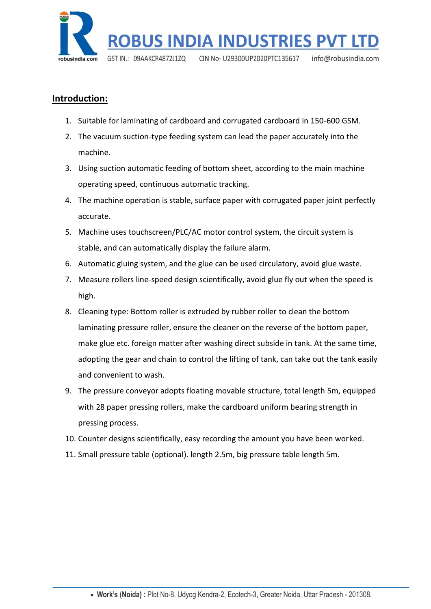

## **Introduction:**

- 1. Suitable for laminating of cardboard and corrugated cardboard in 150-600 GSM.
- 2. The vacuum suction-type feeding system can lead the paper accurately into the machine.
- 3. Using suction automatic feeding of bottom sheet, according to the main machine operating speed, continuous automatic tracking.
- 4. The machine operation is stable, surface paper with corrugated paper joint perfectly accurate.
- 5. Machine uses touchscreen/PLC/AC motor control system, the circuit system is stable, and can automatically display the failure alarm.
- 6. Automatic gluing system, and the glue can be used circulatory, avoid glue waste.
- 7. Measure rollers line-speed design scientifically, avoid glue fly out when the speed is high.
- 8. Cleaning type: Bottom roller is extruded by rubber roller to clean the bottom laminating pressure roller, ensure the cleaner on the reverse of the bottom paper, make glue etc. foreign matter after washing direct subside in tank. At the same time, adopting the gear and chain to control the lifting of tank, can take out the tank easily and convenient to wash.
- 9. The pressure conveyor adopts floating movable structure, total length 5m, equipped with 28 paper pressing rollers, make the cardboard uniform bearing strength in pressing process.
- 10. Counter designs scientifically, easy recording the amount you have been worked.
- 11. Small pressure table (optional). length 2.5m, big pressure table length 5m.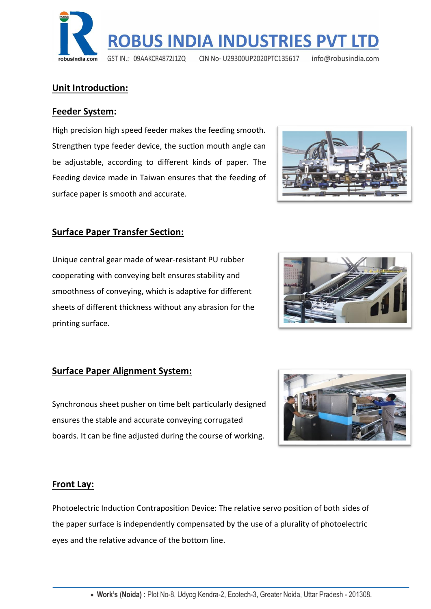. Work's (Noida): Plot No-8, Udyog Kendra-2, Ecotech-3, Greater Noida, Uttar Pradesh - 201308.

## **Unit Introduction:**

#### **Feeder System:**

High precision high speed feeder makes the feeding smooth. Strengthen type feeder device, the suction mouth angle can be adjustable, according to different kinds of paper. The Feeding device made in Taiwan ensures that the feeding of surface paper is smooth and accurate.

## **Surface Paper Transfer Section:**

Unique central gear made of wear-resistant PU rubber cooperating with conveying belt ensures stability and smoothness of conveying, which is adaptive for different sheets of different thickness without any abrasion for the printing surface.

# **Surface Paper Alignment System:**

Synchronous sheet pusher on time belt particularly designed ensures the stable and accurate conveying corrugated boards. It can be fine adjusted during the course of working.

## **Front Lay:**

Photoelectric Induction Contraposition Device: The relative servo position of both sides of the paper surface is independently compensated by the use of a plurality of photoelectric eyes and the relative advance of the bottom line.







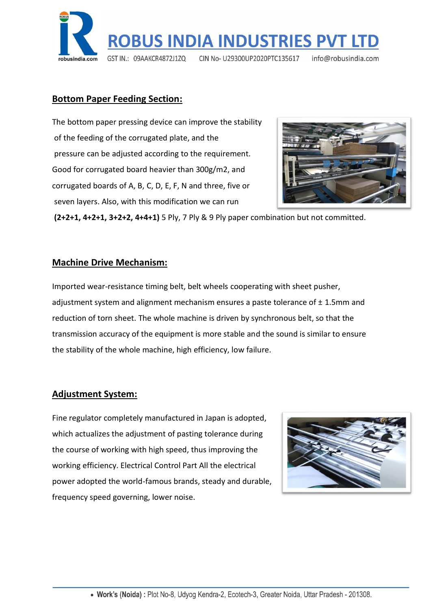

## **Bottom Paper Feeding Section:**

The bottom paper pressing device can improve the stability of the feeding of the corrugated plate, and the pressure can be adjusted according to the requirement. Good for corrugated board heavier than 300g/m2, and corrugated boards of A, B, C, D, E, F, N and three, five or seven layers. Also, with this modification we can run



**(2+2+1, 4+2+1, 3+2+2, 4+4+1)** 5 Ply, 7 Ply & 9 Ply paper combination but not committed.

#### **Machine Drive Mechanism:**

Imported wear-resistance timing belt, belt wheels cooperating with sheet pusher, adjustment system and alignment mechanism ensures a paste tolerance of  $\pm$  1.5mm and reduction of torn sheet. The whole machine is driven by synchronous belt, so that the transmission accuracy of the equipment is more stable and the sound is similar to ensure the stability of the whole machine, high efficiency, low failure.

#### **Adjustment System:**

Fine regulator completely manufactured in Japan is adopted, which actualizes the adjustment of pasting tolerance during the course of working with high speed, thus improving the working efficiency. Electrical Control Part All the electrical power adopted the world-famous brands, steady and durable, frequency speed governing, lower noise.

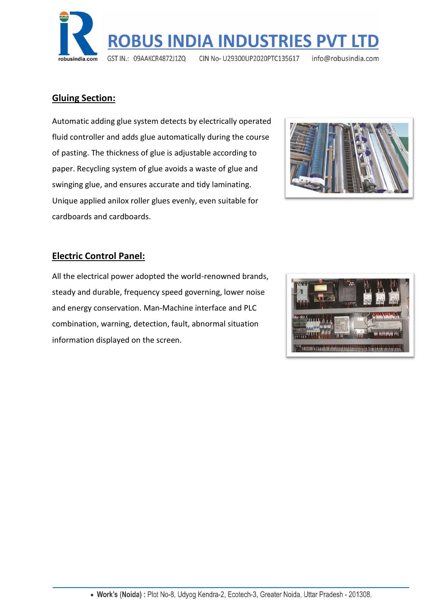

## **Gluing Section:**

Automatic adding glue system detects by electrically operated fluid controller and adds glue automatically during the course of pasting. The thickness of glue is adjustable according to paper. Recycling system of glue avoids a waste of glue and swinging glue, and ensures accurate and tidy laminating. Unique applied anilox roller glues evenly, even suitable for cardboards and cardboards.



## **Electric Control Panel:**

All the electrical power adopted the world-renowned brands, steady and durable, frequency speed governing, lower noise and energy conservation. Man-Machine interface and PLC combination, warning, detection, fault, abnormal situation information displayed on the screen.

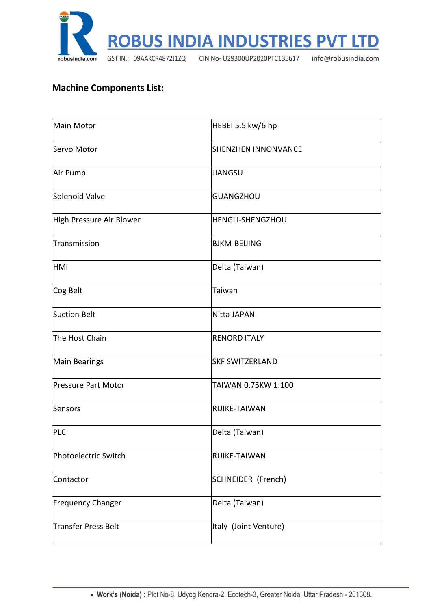

# **Machine Components List:**

| Main Motor                 | HEBEI 5.5 kw/6 hp          |
|----------------------------|----------------------------|
| Servo Motor                | <b>SHENZHEN INNONVANCE</b> |
| Air Pump                   | <b>JIANGSU</b>             |
| Solenoid Valve             | <b>GUANGZHOU</b>           |
| High Pressure Air Blower   | <b>HENGLI-SHENGZHOU</b>    |
| Transmission               | <b>BJKM-BEIJING</b>        |
| <b>HMI</b>                 | Delta (Taiwan)             |
| Cog Belt                   | Taiwan                     |
| Suction Belt               | <b>Nitta JAPAN</b>         |
| The Host Chain             | <b>RENORD ITALY</b>        |
| <b>Main Bearings</b>       | <b>SKF SWITZERLAND</b>     |
| <b>Pressure Part Motor</b> | TAIWAN 0.75KW 1:100        |
| Sensors                    | RUIKE-TAIWAN               |
| <b>PLC</b>                 | Delta (Taiwan)             |
| Photoelectric Switch       | RUIKE-TAIWAN               |
| Contactor                  | <b>SCHNEIDER (French)</b>  |
| <b>Frequency Changer</b>   | Delta (Taiwan)             |
| <b>Transfer Press Belt</b> | Italy (Joint Venture)      |